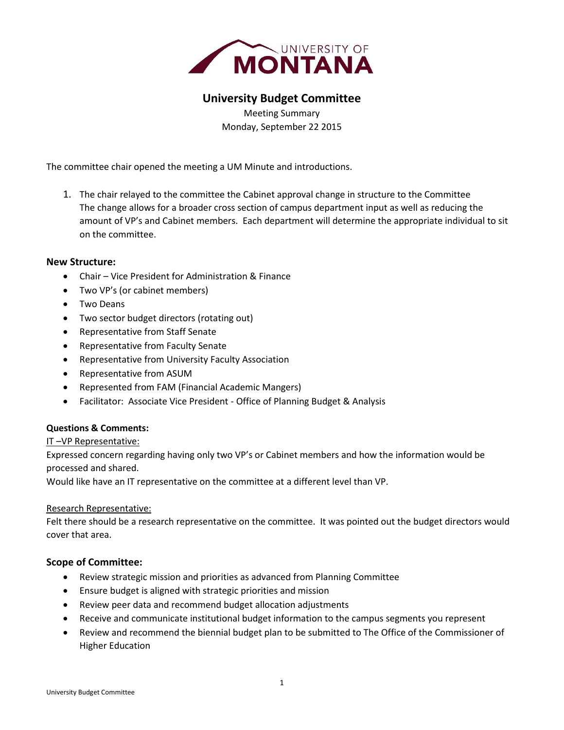

# **University Budget Committee**

Meeting Summary Monday, September 22 2015

The committee chair opened the meeting a UM Minute and introductions.

1. The chair relayed to the committee the Cabinet approval change in structure to the Committee The change allows for a broader cross section of campus department input as well as reducing the amount of VP's and Cabinet members. Each department will determine the appropriate individual to sit on the committee.

#### **New Structure:**

- Chair Vice President for Administration & Finance
- Two VP's (or cabinet members)
- Two Deans
- Two sector budget directors (rotating out)
- Representative from Staff Senate
- Representative from Faculty Senate
- Representative from University Faculty Association
- Representative from ASUM
- Represented from FAM (Financial Academic Mangers)
- Facilitator: Associate Vice President Office of Planning Budget & Analysis

## **Questions & Comments:**

## IT –VP Representative:

Expressed concern regarding having only two VP's or Cabinet members and how the information would be processed and shared.

Would like have an IT representative on the committee at a different level than VP.

#### Research Representative:

Felt there should be a research representative on the committee. It was pointed out the budget directors would cover that area.

## **Scope of Committee:**

- Review strategic mission and priorities as advanced from Planning Committee
- Ensure budget is aligned with strategic priorities and mission
- Review peer data and recommend budget allocation adjustments
- Receive and communicate institutional budget information to the campus segments you represent
- Review and recommend the biennial budget plan to be submitted to The Office of the Commissioner of Higher Education